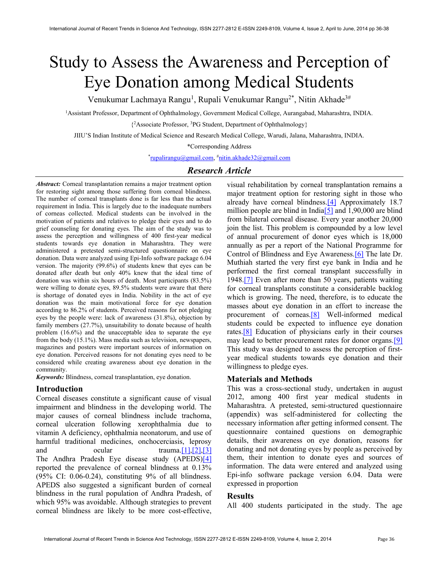# Study to Assess the Awareness and Perception of Eye Donation among Medical Students

Venukumar Lachmaya Rangu<sup>1</sup>, Rupali Venukumar Rangu<sup>2\*</sup>, Nitin Akhade<sup>3#</sup>

<sup>1</sup>Assistant Professor, Department of Ophthalmology, Government Medical College, Aurangabad, Maharashtra, INDIA.

{ <sup>2</sup>Associate Professor, <sup>3</sup>PG Student, Department of Ophthalmology}

JIIU'S Indian Institute of Medical Science and Research Medical College, Warudi, Jalana, Maharashtra, INDIA.

\*Corresponding Address

\* rupalirangu@gmail.com, #nitin.akhade32@gmail.com

## Research Article

Abstract: Corneal transplantation remains a major treatment option for restoring sight among those suffering from corneal blindness. The number of corneal transplants done is far less than the actual requirement in India. This is largely due to the inadequate numbers of corneas collected. Medical students can be involved in the motivation of patients and relatives to pledge their eyes and to do grief counseling for donating eyes. The aim of the study was to assess the perception and willingness of 400 first-year medical students towards eye donation in Maharashtra. They were administered a pretested semi-structured questionnaire on eye donation. Data were analyzed using Epi-Info software package 6.04 version. The majority (99.6%) of students knew that eyes can be donated after death but only 40% knew that the ideal time of donation was within six hours of death. Most participants (83.5%) were willing to donate eyes, 89.5% students were aware that there is shortage of donated eyes in India. Nobility in the act of eye donation was the main motivational force for eye donation according to 86.2% of students. Perceived reasons for not pledging eyes by the people were: lack of awareness (31.8%), objection by family members (27.7%), unsuitability to donate because of health problem (16.6%) and the unacceptable idea to separate the eye from the body (15.1%). Mass media such as television, newspapers, magazines and posters were important sources of information on eye donation. Perceived reasons for not donating eyes need to be considered while creating awareness about eye donation in the community.

Keywords: Blindness, corneal transplantation, eye donation.

### Introduction

Corneal diseases constitute a significant cause of visual impairment and blindness in the developing world. The major causes of corneal blindness include trachoma, corneal ulceration following xerophthalmia due to vitamin A deficiency, ophthalmia neonatorum, and use of harmful traditional medicines, onchocerciasis, leprosy and ocular trauma.  $[1]$ ,  $[2]$ ,  $[3]$ The Andhra Pradesh Eye disease study (APEDS)[4] reported the prevalence of corneal blindness at 0.13% (95% CI: 0.06-0.24), constituting 9% of all blindness. APEDS also suggested a significant burden of corneal blindness in the rural population of Andhra Pradesh, of which 95% was avoidable. Although strategies to prevent corneal blindness are likely to be more cost-effective, visual rehabilitation by corneal transplantation remains a major treatment option for restoring sight in those who already have corneal blindness.[4] Approximately 18.7 million people are blind in India<sup>[5]</sup> and 1,90,000 are blind from bilateral corneal disease. Every year another 20,000 join the list. This problem is compounded by a low level of annual procurement of donor eyes which is 18,000 annually as per a report of the National Programme for Control of Blindness and Eye Awareness.[6] The late Dr. Muthiah started the very first eye bank in India and he performed the first corneal transplant successfully in 1948.[7] Even after more than 50 years, patients waiting for corneal transplants constitute a considerable backlog which is growing. The need, therefore, is to educate the masses about eye donation in an effort to increase the procurement of corneas.[8] Well-informed medical students could be expected to influence eye donation rates.[8] Education of physicians early in their courses may lead to better procurement rates for donor organs.[9] This study was designed to assess the perception of firstyear medical students towards eye donation and their willingness to pledge eyes.

## Materials and Methods

This was a cross-sectional study, undertaken in august 2012, among 400 first year medical students in Maharashtra. A pretested, semi-structured questionnaire (appendix) was self-administered for collecting the necessary information after getting informed consent. The questionnaire contained questions on demographic details, their awareness on eye donation, reasons for donating and not donating eyes by people as perceived by them, their intention to donate eyes and sources of information. The data were entered and analyzed using Epi-info software package version 6.04. Data were expressed in proportion

## Results

All 400 students participated in the study. The age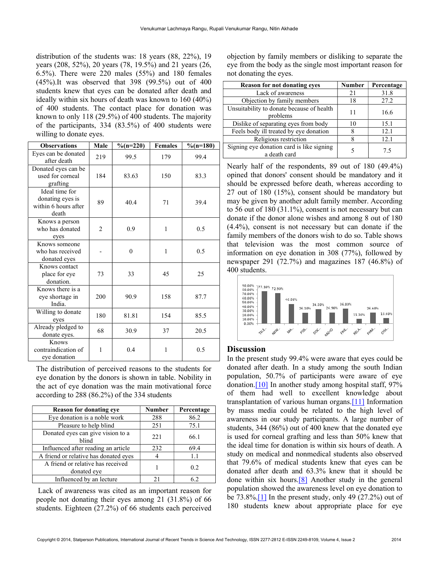distribution of the students was: 18 years (88, 22%), 19 years (208, 52%), 20 years (78, 19.5%) and 21 years (26, 6.5%). There were 220 males (55%) and 180 females (45%).It was observed that 398 (99.5%) out of 400 students knew that eyes can be donated after death and ideally within six hours of death was known to 160 (40%) of 400 students. The contact place for donation was known to only 118 (29.5%) of 400 students. The majority of the participants, 334 (83.5%) of 400 students were willing to donate eyes.

| <b>Observations</b>                                                 | Male           | $\%$ (n=220)     | <b>Females</b> | $\%$ (n=180) |
|---------------------------------------------------------------------|----------------|------------------|----------------|--------------|
| Eyes can be donated<br>after death                                  | 219            | 99.5             | 179            | 99.4         |
| Donated eyes can be<br>used for corneal<br>grafting                 | 184            | 83.63            | 150            | 83.3         |
| Ideal time for<br>donating eyes is<br>within 6 hours after<br>death | 89             | 40.4             | 71             | 39.4         |
| Knows a person<br>who has donated<br>eyes                           | $\overline{2}$ | 0.9              | 1              | 0.5          |
| Knows someone<br>who has received<br>donated eyes                   |                | $\boldsymbol{0}$ | 1              | 0.5          |
| Knows contact<br>place for eye<br>donation.                         | 73             | 33               | 45             | 25           |
| Knows there is a<br>eye shortage in<br>India.                       | 200            | 90.9             | 158            | 87.7         |
| Willing to donate<br>eyes                                           | 180            | 81.81            | 154            | 85.5         |
| Already pledged to<br>donate eyes.                                  | 68             | 30.9             | 37             | 20.5         |
| Knows<br>contraindication of<br>eye donation                        | 1              | 0.4              | 1              | 0.5          |

The distribution of perceived reasons to the students for eye donation by the donors is shown in table. Nobility in the act of eye donation was the main motivational force according to 288 (86.2%) of the 334 students

| <b>Reason for donating eye</b>                   | <b>Number</b> | Percentage |
|--------------------------------------------------|---------------|------------|
| Eye donation is a noble work                     | 288           | 86.2       |
| Pleasure to help blind                           | 251           | 75.1       |
| Donated eyes can give vision to a<br>blind       | 221           | 66.1       |
| Influenced after reading an article              | 232           | 69.4       |
| A friend or relative has donated eyes            |               | 1.1        |
| A friend or relative has received<br>donated eye |               | 0.2        |
| Influenced by an lecture                         |               |            |

 Lack of awareness was cited as an important reason for people not donating their eyes among 21 (31.8%) of 66 students. Eighteen (27.2%) of 66 students each perceived

objection by family members or disliking to separate the eye from the body as the single most important reason for not donating the eyes.

| <b>Reason for not donating eyes</b>                       | <b>Number</b> | Percentage |
|-----------------------------------------------------------|---------------|------------|
| Lack of awareness                                         | 21            | 31.8       |
| Objection by family members                               | 18            | 27.2       |
| Unsuitability to donate because of health<br>problems     | 11            | 16.6       |
| Dislike of separating eyes from body                      | 10            | 15.1       |
| Feels body ill treated by eye donation                    | 8             | 12.1       |
| Religious restriction                                     |               | 12.1       |
| Signing eye donation card is like signing<br>a death card |               | 7.5        |

Nearly half of the respondents, 89 out of 180 (49.4%) opined that donors' consent should be mandatory and it should be expressed before death, whereas according to 27 out of 180 (15%), consent should be mandatory but may be given by another adult family member. According to 56 out of 180 (31.1%), consent is not necessary but can donate if the donor alone wishes and among 8 out of 180 (4.4%), consent is not necessary but can donate if the family members of the donors wish to do so. Table shows that television was the most common source of information on eye donation in 308 (77%), followed by newspaper 291 (72.7%) and magazines 187 (46.8%) of 400 students.



### **Discussion**

In the present study 99.4% were aware that eyes could be donated after death. In a study among the south Indian population, 50.7% of participants were aware of eye donation.[10] In another study among hospital staff, 97% of them had well to excellent knowledge about transplantation of various human organs.[11] Information by mass media could be related to the high level of awareness in our study participants. A large number of students, 344 (86%) out of 400 knew that the donated eye is used for corneal grafting and less than 50% knew that the ideal time for donation is within six hours of death. A study on medical and nonmedical students also observed that 79.6% of medical students knew that eyes can be donated after death and 63.3% knew that it should be done within six hours.[8] Another study in the general population showed the awareness level on eye donation to be  $73.8\%$ . [1] In the present study, only 49 (27.2%) out of 180 students knew about appropriate place for eye